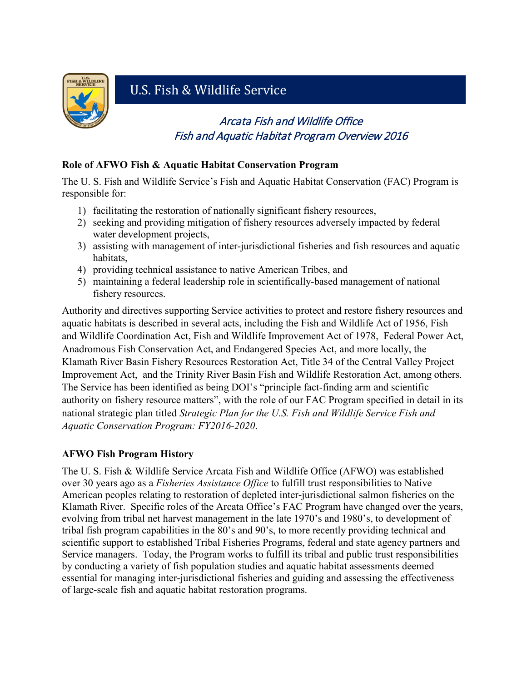

**M**

# U.S. Fish & Wildlife Service

## Arcata Fish and Wildlife Office Fish and Aquatic Habitat Program Overview 2016

#### **Role of AFWO Fish & Aquatic Habitat Conservation Program**

The U. S. Fish and Wildlife Service's Fish and Aquatic Habitat Conservation (FAC) Program is responsible for:

- 1) facilitating the restoration of nationally significant fishery resources,
- 2) seeking and providing mitigation of fishery resources adversely impacted by federal water development projects,
- 3) assisting with management of inter-jurisdictional fisheries and fish resources and aquatic habitats,
- 4) providing technical assistance to native American Tribes, and
- 5) maintaining a federal leadership role in scientifically-based management of national fishery resources.

Authority and directives supporting Service activities to protect and restore fishery resources and aquatic habitats is described in several acts, including the Fish and Wildlife Act of 1956, Fish and Wildlife Coordination Act, Fish and Wildlife Improvement Act of 1978, Federal Power Act, Anadromous Fish Conservation Act, and Endangered Species Act, and more locally, the Klamath River Basin Fishery Resources Restoration Act, Title 34 of the Central Valley Project Improvement Act, and the Trinity River Basin Fish and Wildlife Restoration Act, among others. The Service has been identified as being DOI's "principle fact-finding arm and scientific authority on fishery resource matters", with the role of our FAC Program specified in detail in its national strategic plan titled *Strategic Plan for the U.S. Fish and Wildlife Service Fish and Aquatic Conservation Program: FY2016-2020*.

#### **AFWO Fish Program History**

The U. S. Fish & Wildlife Service Arcata Fish and Wildlife Office (AFWO) was established over 30 years ago as a *Fisheries Assistance Office* to fulfill trust responsibilities to Native American peoples relating to restoration of depleted inter-jurisdictional salmon fisheries on the Klamath River. Specific roles of the Arcata Office's FAC Program have changed over the years, evolving from tribal net harvest management in the late 1970's and 1980's, to development of tribal fish program capabilities in the 80's and 90's, to more recently providing technical and scientific support to established Tribal Fisheries Programs, federal and state agency partners and Service managers. Today, the Program works to fulfill its tribal and public trust responsibilities by conducting a variety of fish population studies and aquatic habitat assessments deemed essential for managing inter-jurisdictional fisheries and guiding and assessing the effectiveness of large-scale fish and aquatic habitat restoration programs.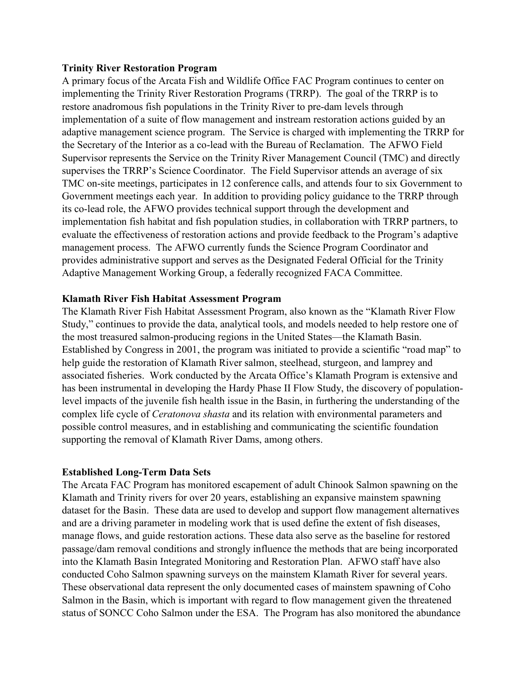#### **Trinity River Restoration Program**

A primary focus of the Arcata Fish and Wildlife Office FAC Program continues to center on implementing the Trinity River Restoration Programs (TRRP). The goal of the TRRP is to restore anadromous fish populations in the Trinity River to pre-dam levels through implementation of a suite of flow management and instream restoration actions guided by an adaptive management science program. The Service is charged with implementing the TRRP for the Secretary of the Interior as a co-lead with the Bureau of Reclamation. The AFWO Field Supervisor represents the Service on the Trinity River Management Council (TMC) and directly supervises the TRRP's Science Coordinator. The Field Supervisor attends an average of six TMC on-site meetings, participates in 12 conference calls, and attends four to six Government to Government meetings each year. In addition to providing policy guidance to the TRRP through its co-lead role, the AFWO provides technical support through the development and implementation fish habitat and fish population studies, in collaboration with TRRP partners, to evaluate the effectiveness of restoration actions and provide feedback to the Program's adaptive management process. The AFWO currently funds the Science Program Coordinator and provides administrative support and serves as the Designated Federal Official for the Trinity Adaptive Management Working Group, a federally recognized FACA Committee.

#### **Klamath River Fish Habitat Assessment Program**

The Klamath River Fish Habitat Assessment Program, also known as the "Klamath River Flow Study," continues to provide the data, analytical tools, and models needed to help restore one of the most treasured salmon-producing regions in the United States—the Klamath Basin. Established by Congress in 2001, the program was initiated to provide a scientific "road map" to help guide the restoration of Klamath River salmon, steelhead, sturgeon, and lamprey and associated fisheries. Work conducted by the Arcata Office's Klamath Program is extensive and has been instrumental in developing the Hardy Phase II Flow Study, the discovery of populationlevel impacts of the juvenile fish health issue in the Basin, in furthering the understanding of the complex life cycle of *Ceratonova shasta* and its relation with environmental parameters and possible control measures, and in establishing and communicating the scientific foundation supporting the removal of Klamath River Dams, among others.

#### **Established Long-Term Data Sets**

The Arcata FAC Program has monitored escapement of adult Chinook Salmon spawning on the Klamath and Trinity rivers for over 20 years, establishing an expansive mainstem spawning dataset for the Basin. These data are used to develop and support flow management alternatives and are a driving parameter in modeling work that is used define the extent of fish diseases, manage flows, and guide restoration actions. These data also serve as the baseline for restored passage/dam removal conditions and strongly influence the methods that are being incorporated into the Klamath Basin Integrated Monitoring and Restoration Plan. AFWO staff have also conducted Coho Salmon spawning surveys on the mainstem Klamath River for several years. These observational data represent the only documented cases of mainstem spawning of Coho Salmon in the Basin, which is important with regard to flow management given the threatened status of SONCC Coho Salmon under the ESA. The Program has also monitored the abundance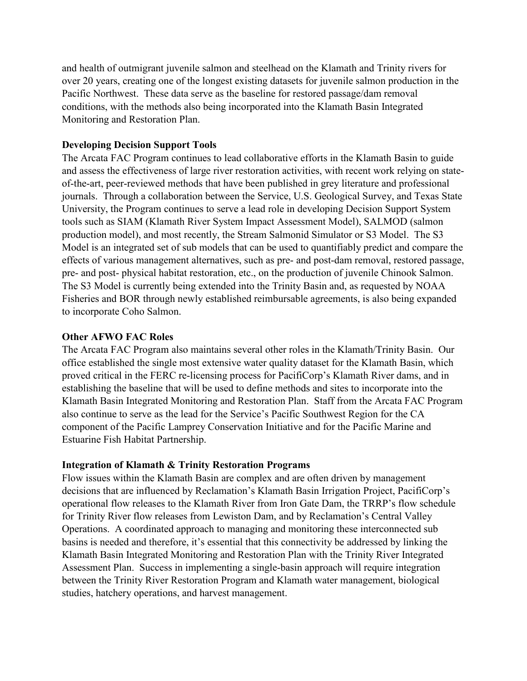and health of outmigrant juvenile salmon and steelhead on the Klamath and Trinity rivers for over 20 years, creating one of the longest existing datasets for juvenile salmon production in the Pacific Northwest. These data serve as the baseline for restored passage/dam removal conditions, with the methods also being incorporated into the Klamath Basin Integrated Monitoring and Restoration Plan.

#### **Developing Decision Support Tools**

The Arcata FAC Program continues to lead collaborative efforts in the Klamath Basin to guide and assess the effectiveness of large river restoration activities, with recent work relying on stateof-the-art, peer-reviewed methods that have been published in grey literature and professional journals. Through a collaboration between the Service, U.S. Geological Survey, and Texas State University, the Program continues to serve a lead role in developing Decision Support System tools such as SIAM (Klamath River System Impact Assessment Model), SALMOD (salmon production model), and most recently, the Stream Salmonid Simulator or S3 Model. The S3 Model is an integrated set of sub models that can be used to quantifiably predict and compare the effects of various management alternatives, such as pre- and post-dam removal, restored passage, pre- and post- physical habitat restoration, etc., on the production of juvenile Chinook Salmon. The S3 Model is currently being extended into the Trinity Basin and, as requested by NOAA Fisheries and BOR through newly established reimbursable agreements, is also being expanded to incorporate Coho Salmon.

#### **Other AFWO FAC Roles**

The Arcata FAC Program also maintains several other roles in the Klamath/Trinity Basin. Our office established the single most extensive water quality dataset for the Klamath Basin, which proved critical in the FERC re-licensing process for PacifiCorp's Klamath River dams, and in establishing the baseline that will be used to define methods and sites to incorporate into the Klamath Basin Integrated Monitoring and Restoration Plan. Staff from the Arcata FAC Program also continue to serve as the lead for the Service's Pacific Southwest Region for the CA component of the Pacific Lamprey Conservation Initiative and for the Pacific Marine and Estuarine Fish Habitat Partnership.

#### **Integration of Klamath & Trinity Restoration Programs**

Flow issues within the Klamath Basin are complex and are often driven by management decisions that are influenced by Reclamation's Klamath Basin Irrigation Project, PacifiCorp's operational flow releases to the Klamath River from Iron Gate Dam, the TRRP's flow schedule for Trinity River flow releases from Lewiston Dam, and by Reclamation's Central Valley Operations. A coordinated approach to managing and monitoring these interconnected sub basins is needed and therefore, it's essential that this connectivity be addressed by linking the Klamath Basin Integrated Monitoring and Restoration Plan with the Trinity River Integrated Assessment Plan. Success in implementing a single-basin approach will require integration between the Trinity River Restoration Program and Klamath water management, biological studies, hatchery operations, and harvest management.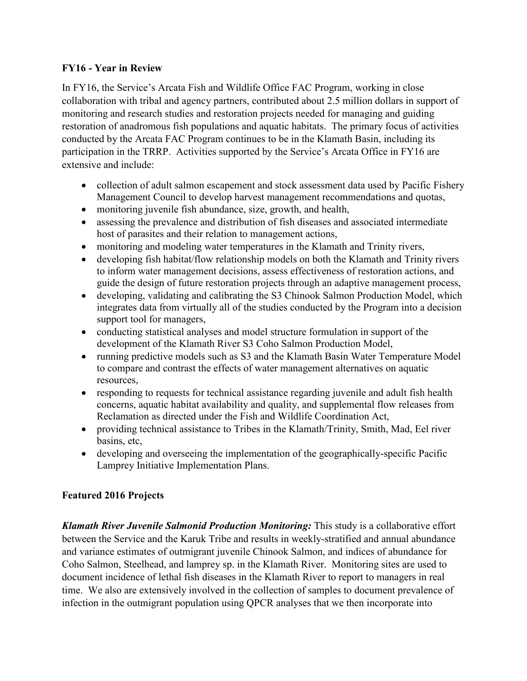#### **FY16 - Year in Review**

In FY16, the Service's Arcata Fish and Wildlife Office FAC Program, working in close collaboration with tribal and agency partners, contributed about 2.5 million dollars in support of monitoring and research studies and restoration projects needed for managing and guiding restoration of anadromous fish populations and aquatic habitats. The primary focus of activities conducted by the Arcata FAC Program continues to be in the Klamath Basin, including its participation in the TRRP. Activities supported by the Service's Arcata Office in FY16 are extensive and include:

- collection of adult salmon escapement and stock assessment data used by Pacific Fishery Management Council to develop harvest management recommendations and quotas,
- monitoring juvenile fish abundance, size, growth, and health,
- assessing the prevalence and distribution of fish diseases and associated intermediate host of parasites and their relation to management actions,
- monitoring and modeling water temperatures in the Klamath and Trinity rivers,
- developing fish habitat/flow relationship models on both the Klamath and Trinity rivers to inform water management decisions, assess effectiveness of restoration actions, and guide the design of future restoration projects through an adaptive management process,
- developing, validating and calibrating the S3 Chinook Salmon Production Model, which integrates data from virtually all of the studies conducted by the Program into a decision support tool for managers,
- conducting statistical analyses and model structure formulation in support of the development of the Klamath River S3 Coho Salmon Production Model,
- running predictive models such as S3 and the Klamath Basin Water Temperature Model to compare and contrast the effects of water management alternatives on aquatic resources,
- responding to requests for technical assistance regarding juvenile and adult fish health concerns, aquatic habitat availability and quality, and supplemental flow releases from Reclamation as directed under the Fish and Wildlife Coordination Act,
- providing technical assistance to Tribes in the Klamath/Trinity, Smith, Mad, Eel river basins, etc,
- developing and overseeing the implementation of the geographically-specific Pacific Lamprey Initiative Implementation Plans.

#### **Featured 2016 Projects**

*Klamath River Juvenile Salmonid Production Monitoring:* This study is a collaborative effort between the Service and the Karuk Tribe and results in weekly-stratified and annual abundance and variance estimates of outmigrant juvenile Chinook Salmon, and indices of abundance for Coho Salmon, Steelhead, and lamprey sp. in the Klamath River. Monitoring sites are used to document incidence of lethal fish diseases in the Klamath River to report to managers in real time. We also are extensively involved in the collection of samples to document prevalence of infection in the outmigrant population using QPCR analyses that we then incorporate into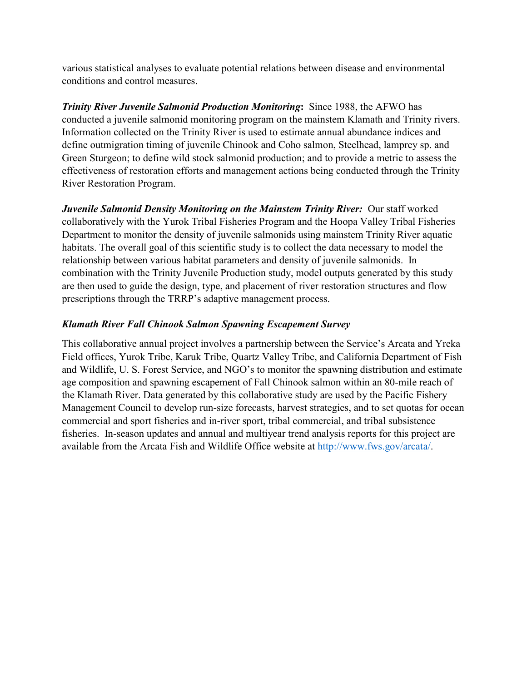various statistical analyses to evaluate potential relations between disease and environmental conditions and control measures.

*Trinity River Juvenile Salmonid Production Monitoring***:** Since 1988, the AFWO has conducted a juvenile salmonid monitoring program on the mainstem Klamath and Trinity rivers. Information collected on the Trinity River is used to estimate annual abundance indices and define outmigration timing of juvenile Chinook and Coho salmon, Steelhead, lamprey sp. and Green Sturgeon; to define wild stock salmonid production; and to provide a metric to assess the effectiveness of restoration efforts and management actions being conducted through the Trinity River Restoration Program.

*Juvenile Salmonid Density Monitoring on the Mainstem Trinity River:* Our staff worked collaboratively with the Yurok Tribal Fisheries Program and the Hoopa Valley Tribal Fisheries Department to monitor the density of juvenile salmonids using mainstem Trinity River aquatic habitats. The overall goal of this scientific study is to collect the data necessary to model the relationship between various habitat parameters and density of juvenile salmonids. In combination with the Trinity Juvenile Production study, model outputs generated by this study are then used to guide the design, type, and placement of river restoration structures and flow prescriptions through the TRRP's adaptive management process.

#### *Klamath River Fall Chinook Salmon Spawning Escapement Survey*

This collaborative annual project involves a partnership between the Service's Arcata and Yreka Field offices, Yurok Tribe, Karuk Tribe, Quartz Valley Tribe, and California Department of Fish and Wildlife, U. S. Forest Service, and NGO's to monitor the spawning distribution and estimate age composition and spawning escapement of Fall Chinook salmon within an 80-mile reach of the Klamath River. Data generated by this collaborative study are used by the Pacific Fishery Management Council to develop run-size forecasts, harvest strategies, and to set quotas for ocean commercial and sport fisheries and in-river sport, tribal commercial, and tribal subsistence fisheries. In-season updates and annual and multiyear trend analysis reports for this project are available from the Arcata Fish and Wildlife Office website at [http://www.fws.gov/arcata/.](http://www.fws.gov/arcata/)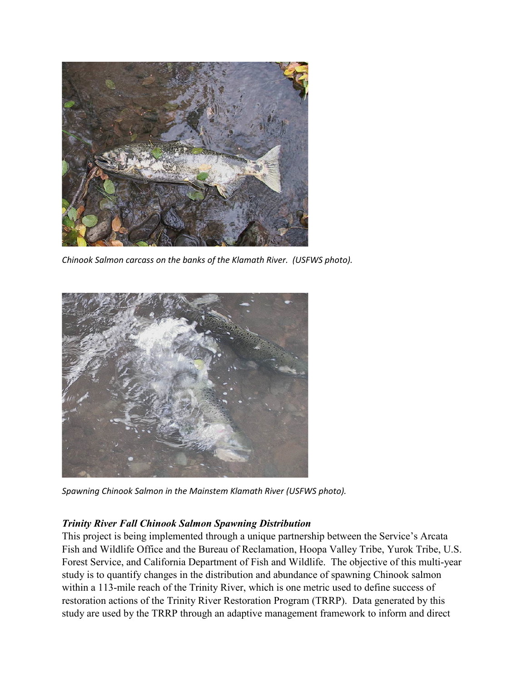

*Chinook Salmon carcass on the banks of the Klamath River. (USFWS photo).* 



*Spawning Chinook Salmon in the Mainstem Klamath River (USFWS photo).* 

#### *Trinity River Fall Chinook Salmon Spawning Distribution*

This project is being implemented through a unique partnership between the Service's Arcata Fish and Wildlife Office and the Bureau of Reclamation, Hoopa Valley Tribe, Yurok Tribe, U.S. Forest Service, and California Department of Fish and Wildlife. The objective of this multi-year study is to quantify changes in the distribution and abundance of spawning Chinook salmon within a 113-mile reach of the Trinity River, which is one metric used to define success of restoration actions of the Trinity River Restoration Program (TRRP). Data generated by this study are used by the TRRP through an adaptive management framework to inform and direct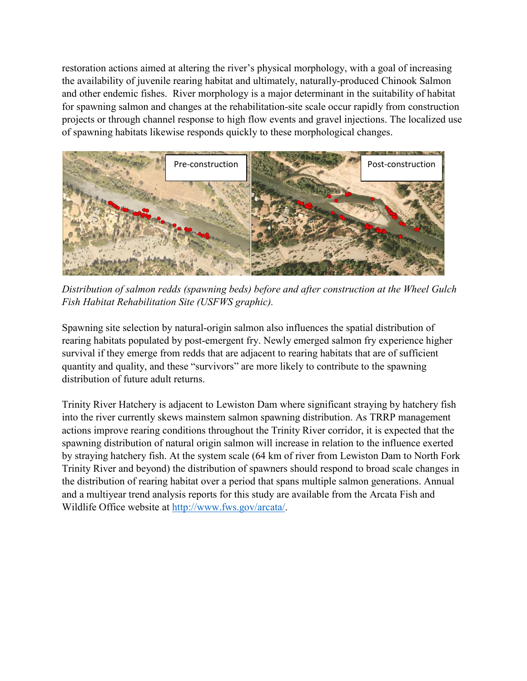restoration actions aimed at altering the river's physical morphology, with a goal of increasing the availability of juvenile rearing habitat and ultimately, naturally-produced Chinook Salmon and other endemic fishes. River morphology is a major determinant in the suitability of habitat for spawning salmon and changes at the rehabilitation-site scale occur rapidly from construction projects or through channel response to high flow events and gravel injections. The localized use of spawning habitats likewise responds quickly to these morphological changes.



*Distribution of salmon redds (spawning beds) before and after construction at the Wheel Gulch Fish Habitat Rehabilitation Site (USFWS graphic).*

Spawning site selection by natural-origin salmon also influences the spatial distribution of rearing habitats populated by post-emergent fry. Newly emerged salmon fry experience higher survival if they emerge from redds that are adjacent to rearing habitats that are of sufficient quantity and quality, and these "survivors" are more likely to contribute to the spawning distribution of future adult returns.

Trinity River Hatchery is adjacent to Lewiston Dam where significant straying by hatchery fish into the river currently skews mainstem salmon spawning distribution. As TRRP management actions improve rearing conditions throughout the Trinity River corridor, it is expected that the spawning distribution of natural origin salmon will increase in relation to the influence exerted by straying hatchery fish. At the system scale (64 km of river from Lewiston Dam to North Fork Trinity River and beyond) the distribution of spawners should respond to broad scale changes in the distribution of rearing habitat over a period that spans multiple salmon generations. Annual and a multiyear trend analysis reports for this study are available from the Arcata Fish and Wildlife Office website at [http://www.fws.gov/arcata/.](http://www.fws.gov/arcata/)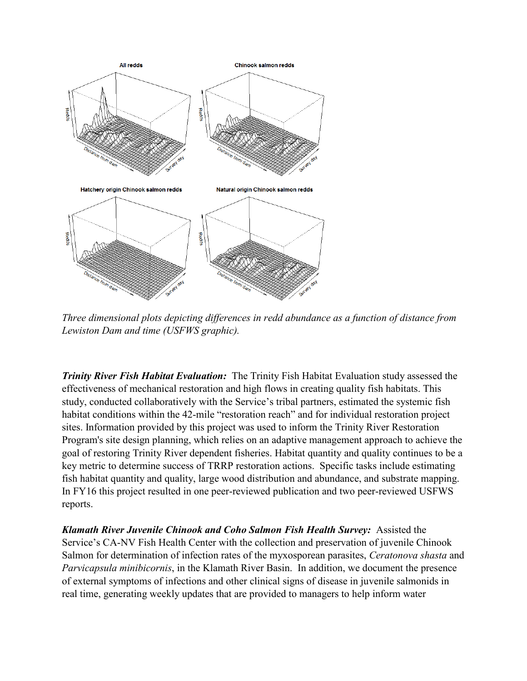

*Three dimensional plots depicting differences in redd abundance as a function of distance from Lewiston Dam and time (USFWS graphic).* 

*Trinity River Fish Habitat Evaluation:* The Trinity Fish Habitat Evaluation study assessed the effectiveness of mechanical restoration and high flows in creating quality fish habitats. This study, conducted collaboratively with the Service's tribal partners, estimated the systemic fish habitat conditions within the 42-mile "restoration reach" and for individual restoration project sites. Information provided by this project was used to inform the Trinity River Restoration Program's site design planning, which relies on an adaptive management approach to achieve the goal of restoring Trinity River dependent fisheries. Habitat quantity and quality continues to be a key metric to determine success of TRRP restoration actions. Specific tasks include estimating fish habitat quantity and quality, large wood distribution and abundance, and substrate mapping. In FY16 this project resulted in one peer-reviewed publication and two peer-reviewed USFWS reports.

*Klamath River Juvenile Chinook and Coho Salmon Fish Health Survey:* Assisted the Service's CA-NV Fish Health Center with the collection and preservation of juvenile Chinook Salmon for determination of infection rates of the myxosporean parasites, *Ceratonova shasta* and *Parvicapsula minibicornis*, in the Klamath River Basin. In addition, we document the presence of external symptoms of infections and other clinical signs of disease in juvenile salmonids in real time, generating weekly updates that are provided to managers to help inform water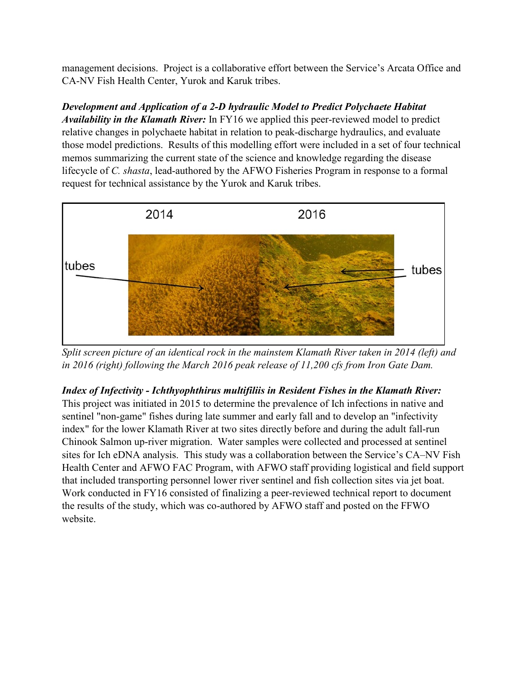management decisions. Project is a collaborative effort between the Service's Arcata Office and CA-NV Fish Health Center, Yurok and Karuk tribes.

*Development and Application of a 2-D hydraulic Model to Predict Polychaete Habitat Availability in the Klamath River:* In FY16 we applied this peer-reviewed model to predict relative changes in polychaete habitat in relation to peak-discharge hydraulics, and evaluate those model predictions. Results of this modelling effort were included in a set of four technical memos summarizing the current state of the science and knowledge regarding the disease lifecycle of *C. shasta*, lead-authored by the AFWO Fisheries Program in response to a formal request for technical assistance by the Yurok and Karuk tribes.



*Split screen picture of an identical rock in the mainstem Klamath River taken in 2014 (left) and in 2016 (right) following the March 2016 peak release of 11,200 cfs from Iron Gate Dam.*

### *Index of Infectivity - Ichthyophthirus multifiliis in Resident Fishes in the Klamath River:*

This project was initiated in 2015 to determine the prevalence of Ich infections in native and sentinel "non-game" fishes during late summer and early fall and to develop an "infectivity index" for the lower Klamath River at two sites directly before and during the adult fall-run Chinook Salmon up-river migration. Water samples were collected and processed at sentinel sites for Ich eDNA analysis. This study was a collaboration between the Service's CA–NV Fish Health Center and AFWO FAC Program, with AFWO staff providing logistical and field support that included transporting personnel lower river sentinel and fish collection sites via jet boat. Work conducted in FY16 consisted of finalizing a peer-reviewed technical report to document the results of the study, which was co-authored by AFWO staff and posted on the FFWO website.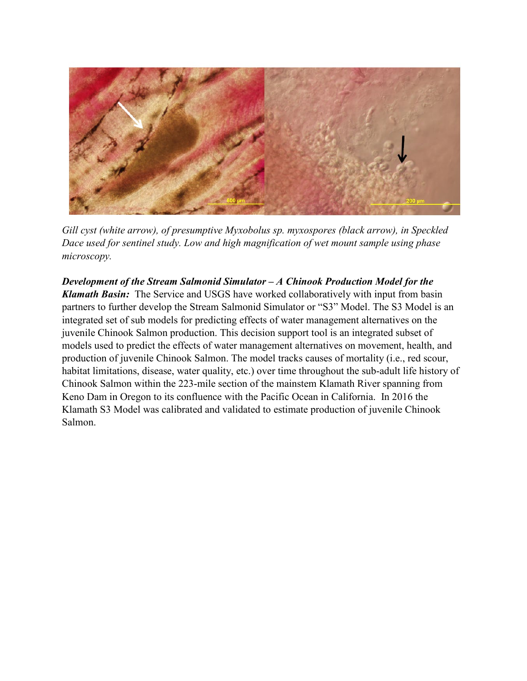

*Gill cyst (white arrow), of presumptive Myxobolus sp. myxospores (black arrow), in Speckled Dace used for sentinel study. Low and high magnification of wet mount sample using phase microscopy.*

*Development of the Stream Salmonid Simulator – A Chinook Production Model for the Klamath Basin:* The Service and USGS have worked collaboratively with input from basin partners to further develop the Stream Salmonid Simulator or "S3" Model. The S3 Model is an integrated set of sub models for predicting effects of water management alternatives on the juvenile Chinook Salmon production. This decision support tool is an integrated subset of models used to predict the effects of water management alternatives on movement, health, and production of juvenile Chinook Salmon. The model tracks causes of mortality (i.e., red scour, habitat limitations, disease, water quality, etc.) over time throughout the sub-adult life history of Chinook Salmon within the 223-mile section of the mainstem Klamath River spanning from Keno Dam in Oregon to its confluence with the Pacific Ocean in California. In 2016 the Klamath S3 Model was calibrated and validated to estimate production of juvenile Chinook Salmon.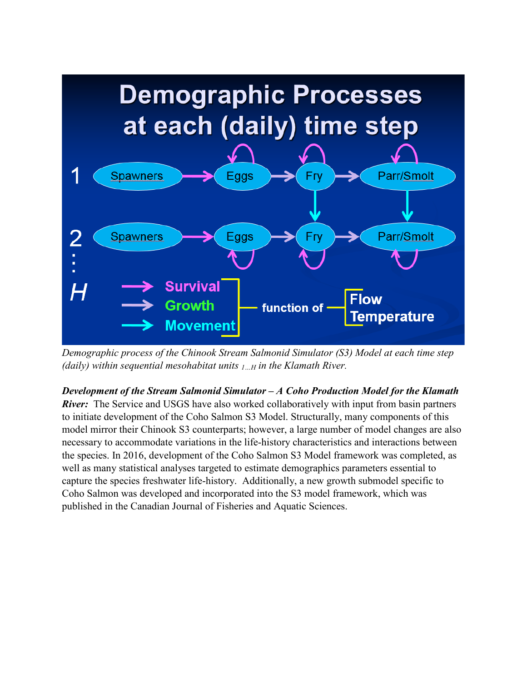

*Demographic process of the Chinook Stream Salmonid Simulator (S3) Model at each time step (daily) within sequential mesohabitat units 1…H in the Klamath River.*

*Development of the Stream Salmonid Simulator – A Coho Production Model for the Klamath* 

*River*: The Service and USGS have also worked collaboratively with input from basin partners to initiate development of the Coho Salmon S3 Model. Structurally, many components of this model mirror their Chinook S3 counterparts; however, a large number of model changes are also necessary to accommodate variations in the life-history characteristics and interactions between the species. In 2016, development of the Coho Salmon S3 Model framework was completed, as well as many statistical analyses targeted to estimate demographics parameters essential to capture the species freshwater life-history. Additionally, a new growth submodel specific to Coho Salmon was developed and incorporated into the S3 model framework, which was published in the Canadian Journal of Fisheries and Aquatic Sciences.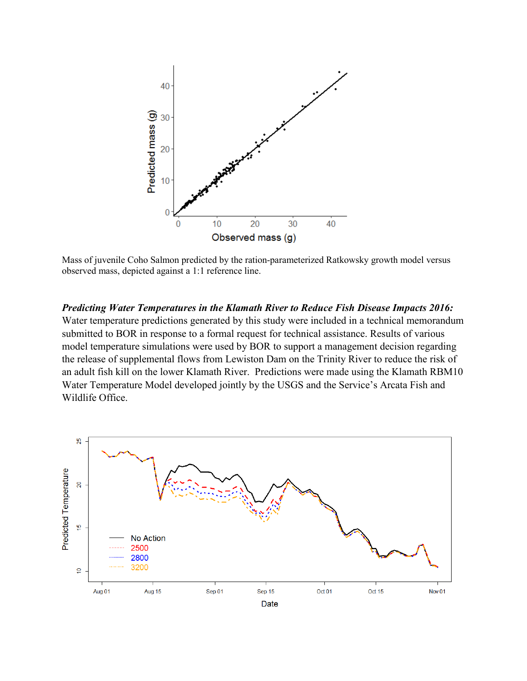

Mass of juvenile Coho Salmon predicted by the ration-parameterized Ratkowsky growth model versus observed mass, depicted against a 1:1 reference line.

*Predicting Water Temperatures in the Klamath River to Reduce Fish Disease Impacts 2016:*  Water temperature predictions generated by this study were included in a technical memorandum submitted to BOR in response to a formal request for technical assistance. Results of various model temperature simulations were used by BOR to support a management decision regarding the release of supplemental flows from Lewiston Dam on the Trinity River to reduce the risk of an adult fish kill on the lower Klamath River. Predictions were made using the Klamath RBM10 Water Temperature Model developed jointly by the USGS and the Service's Arcata Fish and Wildlife Office.